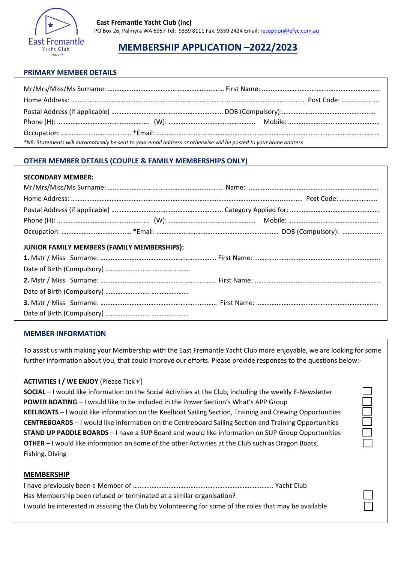

# **MEMBERSHIP APPLICATION –2022/2023**

## **PRIMARY MEMBER DETAILS**

| *NB: Statements will automatically be sent to your email address or otherwise will be posted to your home address |  |
|-------------------------------------------------------------------------------------------------------------------|--|

## **OTHER MEMBER DETAILS (COUPLE & FAMILY MEMBERSHIPS ONLY)**

### **SECONDARY MEMBER:**

| JUNIOR FAMILY MEMBERS (FAMILY MEMBERSHIPS): |  |
|---------------------------------------------|--|
|                                             |  |
|                                             |  |
|                                             |  |
|                                             |  |
|                                             |  |
|                                             |  |

### **MEMBER INFORMATION**

To assist us with making your Membership with the East Fremantle Yacht Club more enjoyable, we are looking for some further information about you, that could improve our efforts. Please provide responses to the questions below:-

## **ACTIVITIES I / WE ENJOY** (Please Tick  $v'$ )

**SOCIAL** – I would like information on the Social Activities at the Club, including the weekly E-Newsletter **POWER BOATING** – I would like to be included in the Power Section's What's APP Group **KEELBOATS** – I would like information on the Keelboat Sailing Section, Training and Crewing Opportunities **CENTREBOARDS** – I would like information on the Centreboard Sailing Section and Training Opportunities **STAND UP PADDLE BOARDS** – I have a SUP Board and would like information on SUP Group Opportunities **OTHER** – I would like information on some of the other Activities at the Club such as Dragon Boats, Fishing, Diving

### **MEMBERSHIP**

| Has Membership been refused or terminated at a similar organisation?                                    |  |
|---------------------------------------------------------------------------------------------------------|--|
| I would be interested in assisting the Club by Volunteering for some of the roles that may be available |  |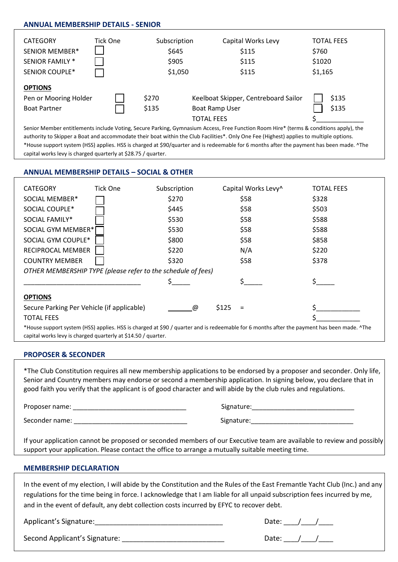## **ANNUAL MEMBERSHIP DETAILS - SENIOR**

| <b>CATEGORY</b>                                                | Tick One | Subscription   | Capital Works Levy                                                                 | <b>TOTAL FEES</b> |
|----------------------------------------------------------------|----------|----------------|------------------------------------------------------------------------------------|-------------------|
| <b>SENIOR MEMBER*</b>                                          |          | \$645          | \$115                                                                              | \$760             |
| SENIOR FAMILY *                                                |          | \$905          | \$115                                                                              | \$1020            |
| SENIOR COUPLE*                                                 |          | \$1,050        | \$115                                                                              | \$1,165           |
| <b>OPTIONS</b><br>Pen or Mooring Holder<br><b>Boat Partner</b> |          | \$270<br>\$135 | Keelboat Skipper, Centreboard Sailor<br><b>Boat Ramp User</b><br><b>TOTAL FEES</b> | \$135<br>\$135    |

Senior Member entitlements include Voting, Secure Parking, Gymnasium Access, Free Function Room Hire\* (terms & conditions apply), the authority to Skipper a Boat and accommodate their boat within the Club Facilities\*. Only One Fee (Highest) applies to multiple options. \*House support system (HSS) applies. HSS is charged at \$90/quarter and is redeemable for 6 months after the payment has been made. ^The capital works levy is charged quarterly at \$28.75 / quarter.

## **ANNUAL MEMBERSHIP DETAILS – SOCIAL & OTHER**

| <b>CATEGORY</b>                                              | Tick One | Subscription | Capital Works Levy^                                                                                                                        | <b>TOTAL FEES</b> |
|--------------------------------------------------------------|----------|--------------|--------------------------------------------------------------------------------------------------------------------------------------------|-------------------|
| SOCIAL MEMBER*                                               |          | \$270        | \$58                                                                                                                                       | \$328             |
| SOCIAL COUPLE*                                               |          | \$445        | \$58                                                                                                                                       | \$503             |
| SOCIAL FAMILY*                                               |          | \$530        | \$58                                                                                                                                       | \$588             |
| SOCIAL GYM MEMBER*                                           |          | \$530        | \$58                                                                                                                                       | \$588             |
| SOCIAL GYM COUPLE*                                           |          | \$800        | \$58                                                                                                                                       | \$858             |
| RECIPROCAL MEMBER                                            |          | \$220        | N/A                                                                                                                                        | \$220             |
| <b>COUNTRY MEMBER</b>                                        |          | \$320        | \$58                                                                                                                                       | \$378             |
| OTHER MEMBERSHIP TYPE (please refer to the schedule of fees) |          |              |                                                                                                                                            |                   |
|                                                              |          |              |                                                                                                                                            |                   |
| <b>OPTIONS</b>                                               |          |              |                                                                                                                                            |                   |
| Secure Parking Per Vehicle (if applicable)                   |          | @            | \$125<br>$=$                                                                                                                               |                   |
| <b>TOTAL FEES</b>                                            |          |              |                                                                                                                                            |                   |
|                                                              |          |              | *House support system (HSS) applies. HSS is charged at \$90 / quarter and is redeemable for 6 months after the payment has been made. ^The |                   |

capital works levy is charged quarterly at \$14.50 / quarter.

### **PROPOSER & SECONDER**

\*The Club Constitution requires all new membership applications to be endorsed by a proposer and seconder. Only life, Senior and Country members may endorse or second a membership application. In signing below, you declare that in good faith you verify that the applicant is of good character and will abide by the club rules and regulations.

Proposer name: \_\_\_\_\_\_\_\_\_\_\_\_\_\_\_\_\_\_\_\_\_\_\_\_\_\_\_\_\_\_\_ Signature:\_\_\_\_\_\_\_\_\_\_\_\_\_\_\_\_\_\_\_\_\_\_\_\_\_\_\_\_

Seconder name: etc. and the seconder name: the seconder name of the seconder name of the seconder  $\sim$  Signature:

| Signature: |  |
|------------|--|
|------------|--|

If your application cannot be proposed or seconded members of our Executive team are available to review and possibly support your application. Please contact the office to arrange a mutually suitable meeting time.

#### **MEMBERSHIP DECLARATION**

In the event of my election, I will abide by the Constitution and the Rules of the East Fremantle Yacht Club (Inc.) and any regulations for the time being in force. I acknowledge that I am liable for all unpaid subscription fees incurred by me, and in the event of default, any debt collection costs incurred by EFYC to recover debt.

Applicant's Signature:\_\_\_\_\_\_\_\_\_\_\_\_\_\_\_\_\_\_\_\_\_\_\_\_\_\_\_\_\_\_\_\_\_\_\_ Date: \_\_\_\_/\_\_\_\_/\_\_\_\_

Second Applicant's Signature: \_\_\_\_\_\_\_\_\_\_\_\_\_\_\_\_\_\_\_\_\_\_\_\_\_\_\_\_ Date: \_\_\_\_/\_\_\_\_/\_\_\_\_

| $\sim$ |
|--------|
|        |

| . .<br>Ō<br>, |  |  |
|---------------|--|--|
|---------------|--|--|